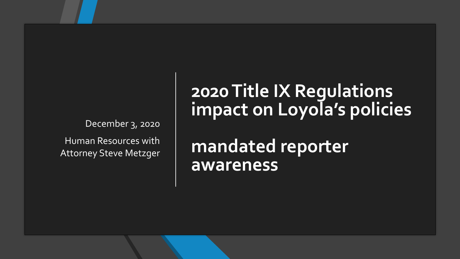December 3, 2020 Human Resources with Attorney Steve Metzger **2020 Title IX Regulations impact on Loyola's policies**

**mandated reporter awareness**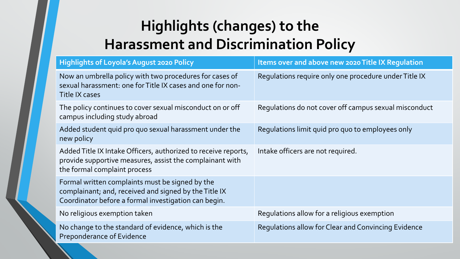# **Highlights (changes) to the Harassment and Discrimination Policy**

| <b>Highlights of Loyola's August 2020 Policy</b>                                                                                                                 | Items over and above new 2020 Title IX Regulation     |
|------------------------------------------------------------------------------------------------------------------------------------------------------------------|-------------------------------------------------------|
| Now an umbrella policy with two procedures for cases of<br>sexual harassment: one for Title IX cases and one for non-<br>Title IX cases                          | Requlations require only one procedure under Title IX |
| The policy continues to cover sexual misconduct on or off<br>campus including study abroad                                                                       | Regulations do not cover off campus sexual misconduct |
| Added student quid pro quo sexual harassment under the<br>new policy                                                                                             | Regulations limit quid pro quo to employees only      |
| Added Title IX Intake Officers, authorized to receive reports,<br>provide supportive measures, assist the complainant with<br>the formal complaint process       | Intake officers are not required.                     |
| Formal written complaints must be signed by the<br>complainant; and, received and signed by the Title IX<br>Coordinator before a formal investigation can begin. |                                                       |
| No religious exemption taken                                                                                                                                     | Regulations allow for a religious exemption           |
| No change to the standard of evidence, which is the<br>Preponderance of Evidence                                                                                 | Regulations allow for Clear and Convincing Evidence   |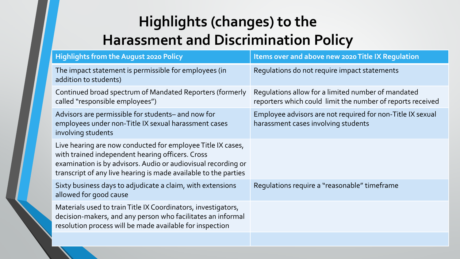# **Highlights (changes) to the Harassment and Discrimination Policy**

| <b>Highlights from the August 2020 Policy</b>                                                                                                                                                                                                       | Items over and above new 2020 Title IX Regulation                                                                |
|-----------------------------------------------------------------------------------------------------------------------------------------------------------------------------------------------------------------------------------------------------|------------------------------------------------------------------------------------------------------------------|
| The impact statement is permissible for employees (in<br>addition to students)                                                                                                                                                                      | Regulations do not require impact statements                                                                     |
| Continued broad spectrum of Mandated Reporters (formerly<br>called "responsible employees")                                                                                                                                                         | Requlations allow for a limited number of mandated<br>reporters which could limit the number of reports received |
| Advisors are permissible for students– and now for<br>employees under non-Title IX sexual harassment cases<br>involving students                                                                                                                    | Employee advisors are not required for non-Title IX sexual<br>harassment cases involving students                |
| Live hearing are now conducted for employee Title IX cases,<br>with trained independent hearing officers. Cross<br>examination is by advisors. Audio or audiovisual recording or<br>transcript of any live hearing is made available to the parties |                                                                                                                  |
| Sixty business days to adjudicate a claim, with extensions<br>allowed for good cause                                                                                                                                                                | Regulations require a "reasonable" timeframe                                                                     |
| Materials used to train Title IX Coordinators, investigators,<br>decision-makers, and any person who facilitates an informal<br>resolution process will be made available for inspection                                                            |                                                                                                                  |
|                                                                                                                                                                                                                                                     |                                                                                                                  |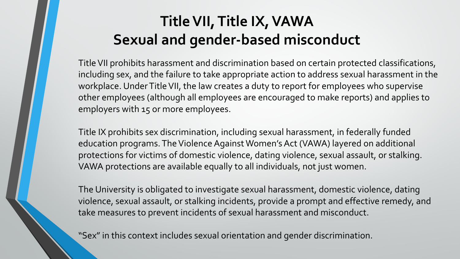# **Title VII, Title IX, VAWA Sexual and gender-based misconduct**

Title VII prohibits harassment and discrimination based on certain protected classifications, including sex, and the failure to take appropriate action to address sexual harassment in the workplace. Under Title VII, the law creates a duty to report for employees who supervise other employees (although all employees are encouraged to make reports) and applies to employers with 15 or more employees.

Title IX prohibits sex discrimination, including sexual harassment, in federally funded education programs. The Violence Against Women's Act (VAWA) layered on additional protections for victims of domestic violence, dating violence, sexual assault, or stalking. VAWA protections are available equally to all individuals, not just women.

The University is obligated to investigate sexual harassment, domestic violence, dating violence, sexual assault, or stalking incidents, provide a prompt and effective remedy, and take measures to prevent incidents of sexual harassment and misconduct.

"Sex" in this context includes sexual orientation and gender discrimination.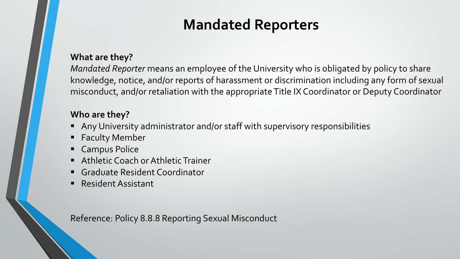## **Mandated Reporters**

#### **What are they?**

*Mandated Reporter* means an employee of the University who is obligated by policy to share knowledge, notice, and/or reports of harassment or discrimination including any form of sexual misconduct, and/or retaliation with the appropriate Title IX Coordinator or Deputy Coordinator

#### **Who are they?**

- Any University administrator and/or staff with supervisory responsibilities
- **Faculty Member**
- Campus Police
- **Athletic Coach or Athletic Trainer**
- Graduate Resident Coordinator
- Resident Assistant

Reference: Policy 8.8.8 Reporting Sexual Misconduct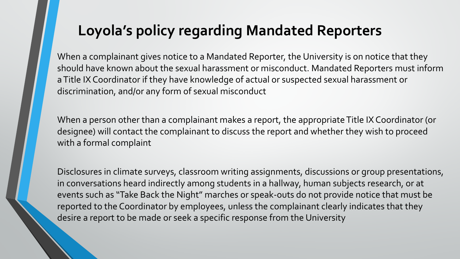### **Loyola's policy regarding Mandated Reporters**

When a complainant gives notice to a Mandated Reporter, the University is on notice that they should have known about the sexual harassment or misconduct. Mandated Reporters must inform a Title IX Coordinator if they have knowledge of actual or suspected sexual harassment or discrimination, and/or any form of sexual misconduct

When a person other than a complainant makes a report, the appropriate Title IX Coordinator (or designee) will contact the complainant to discuss the report and whether they wish to proceed with a formal complaint

Disclosures in climate surveys, classroom writing assignments, discussions or group presentations, in conversations heard indirectly among students in a hallway, human subjects research, or at events such as "Take Back the Night" marches or speak-outs do not provide notice that must be reported to the Coordinator by employees, unless the complainant clearly indicates that they desire a report to be made or seek a specific response from the University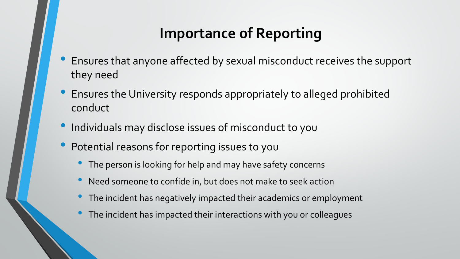# **Importance of Reporting**

- Ensures that anyone affected by sexual misconduct receives the support they need
- Ensures the University responds appropriately to alleged prohibited conduct
- Individuals may disclose issues of misconduct to you
- Potential reasons for reporting issues to you
	- The person is looking for help and may have safety concerns
	- Need someone to confide in, but does not make to seek action
	- The incident has negatively impacted their academics or employment
	- The incident has impacted their interactions with you or colleagues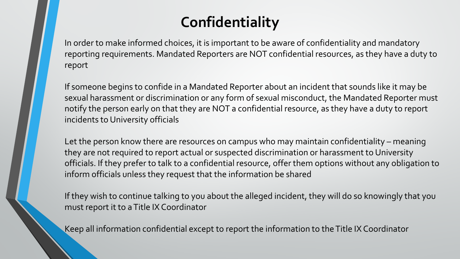# **Confidentiality**

In order to make informed choices, it is important to be aware of confidentiality and mandatory reporting requirements. Mandated Reporters are NOT confidential resources, as they have a duty to report

If someone begins to confide in a Mandated Reporter about an incident that sounds like it may be sexual harassment or discrimination or any form of sexual misconduct, the Mandated Reporter must notify the person early on that they are NOT a confidential resource, as they have a duty to report incidents to University officials

Let the person know there are resources on campus who may maintain confidentiality – meaning they are not required to report actual or suspected discrimination or harassment to University officials. If they prefer to talk to a confidential resource, offer them options without any obligation to inform officials unless they request that the information be shared

If they wish to continue talking to you about the alleged incident, they will do so knowingly that you must report it to a Title IX Coordinator

Keep all information confidential except to report the information to the Title IX Coordinator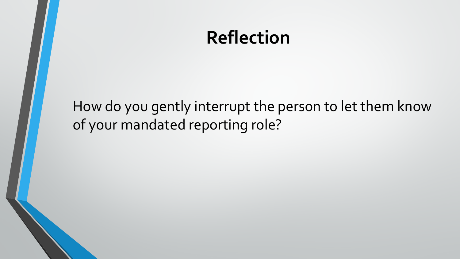# **Reflection**

How do you gently interrupt the person to let them know of your mandated reporting role?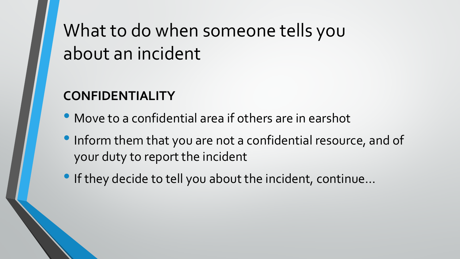### **CONFIDENTIALITY**

- Move to a confidential area if others are in earshot
- Inform them that you are not a confidential resource, and of your duty to report the incident
- If they decide to tell you about the incident, continue…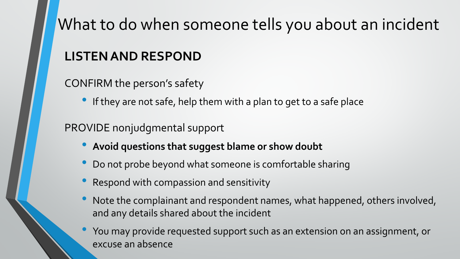### **LISTEN AND RESPOND**

CONFIRM the person's safety

• If they are not safe, help them with a plan to get to a safe place

#### PROVIDE nonjudgmental support

- **Avoid questions that suggest blame or show doubt**
- Do not probe beyond what someone is comfortable sharing
- Respond with compassion and sensitivity
- Note the complainant and respondent names, what happened, others involved, and any details shared about the incident
- You may provide requested support such as an extension on an assignment, or excuse an absence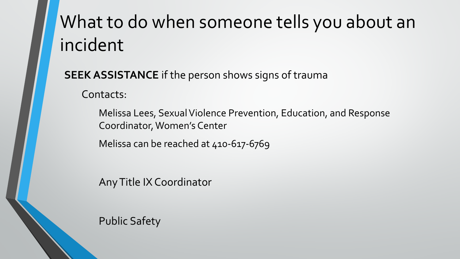#### **SEEK ASSISTANCE** if the person shows signs of trauma

Contacts:

Melissa Lees, Sexual Violence Prevention, Education, and Response Coordinator, Women's Center

Melissa can be reached at 410-617-6769

Any Title IX Coordinator

Public Safety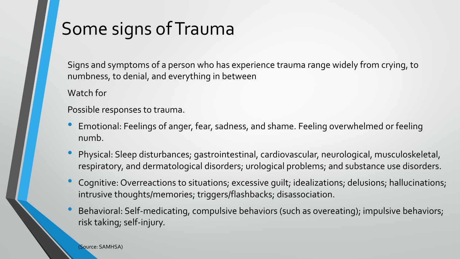# Some signs of Trauma

Signs and symptoms of a person who has experience trauma range widely from crying, to numbness, to denial, and everything in between

Watch for

Possible responses to trauma.

- Emotional: Feelings of anger, fear, sadness, and shame. Feeling overwhelmed or feeling numb.
- Physical: Sleep disturbances; gastrointestinal, cardiovascular, neurological, musculoskeletal, respiratory, and dermatological disorders; urological problems; and substance use disorders.
- Cognitive: Overreactions to situations; excessive guilt; idealizations; delusions; hallucinations; intrusive thoughts/memories; triggers/flashbacks; disassociation.
- Behavioral: Self-medicating, compulsive behaviors (such as overeating); impulsive behaviors; risk taking; self-injury.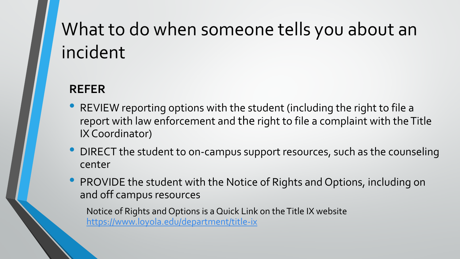#### **REFER**

- REVIEW reporting options with the student (including the right to file a report with law enforcement and the right to file a complaint with the Title IX Coordinator)
- DIRECT the student to on-campus support resources, such as the counseling center
- PROVIDE the student with the Notice of Rights and Options, including on and off campus resources

Notice of Rights and Options is a Quick Link on the Title IX website <https://www.loyola.edu/department/title-ix>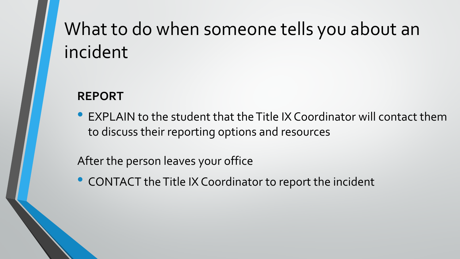#### **REPORT**

• EXPLAIN to the student that the Title IX Coordinator will contact them to discuss their reporting options and resources

After the person leaves your office

• CONTACT the Title IX Coordinator to report the incident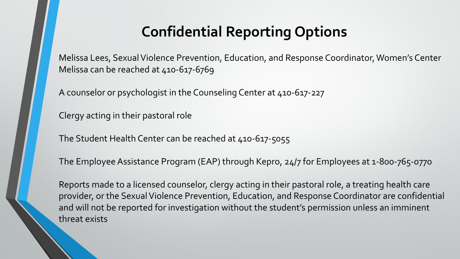## **Confidential Reporting Options**

Melissa Lees, Sexual Violence Prevention, Education, and Response Coordinator, Women's Center Melissa can be reached at 410-617-6769

A counselor or psychologist in the Counseling Center at 410-617-227

Clergy acting in their pastoral role

The Student Health Center can be reached at 410-617-5055

The Employee Assistance Program (EAP) through Kepro, 24/7 for Employees at 1-800-765-0770

Reports made to a licensed counselor, clergy acting in their pastoral role, a treating health care provider, or the Sexual Violence Prevention, Education, and Response Coordinator are confidential and will not be reported for investigation without the student's permission unless an imminent threat exists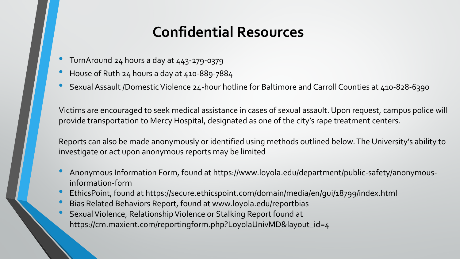## **Confidential Resources**

- TurnAround 24 hours a day at 443-279-0379
- House of Ruth 24 hours a day at 410-889-7884
- Sexual Assault /Domestic Violence 24-hour hotline for Baltimore and Carroll Counties at 410-828-6390

Victims are encouraged to seek medical assistance in cases of sexual assault. Upon request, campus police will provide transportation to Mercy Hospital, designated as one of the city's rape treatment centers.

Reports can also be made anonymously or identified using methods outlined below. The University's ability to investigate or act upon anonymous reports may be limited

- Anonymous Information Form, found at https://www.loyola.edu/department/public-safety/anonymousinformation-form
- EthicsPoint, found at https://secure.ethicspoint.com/domain/media/en/gui/18799/index.html
- Bias Related Behaviors Report, found at www.loyola.edu/reportbias
- Sexual Violence, Relationship Violence or Stalking Report found at https://cm.maxient.com/reportingform.php?LoyolaUnivMD&layout\_id=4